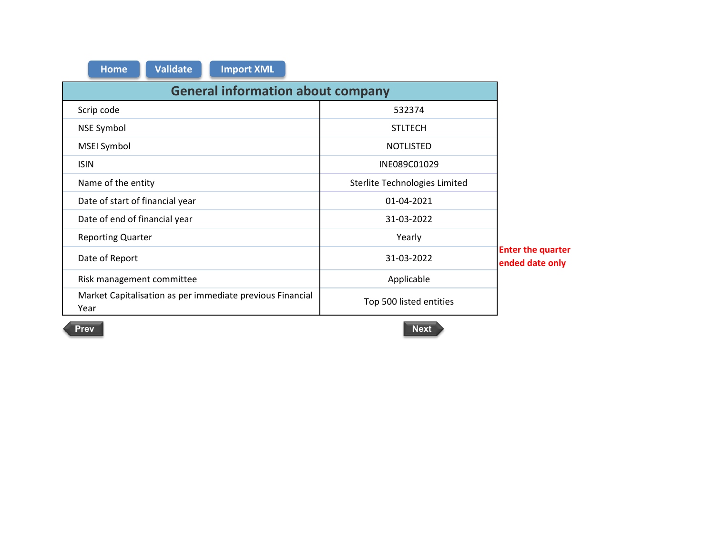| <b>Import XML</b><br><b>Validate</b><br><b>Home</b>               |                               |                                             |  |  |
|-------------------------------------------------------------------|-------------------------------|---------------------------------------------|--|--|
| <b>General information about company</b>                          |                               |                                             |  |  |
| Scrip code                                                        | 532374                        |                                             |  |  |
| <b>NSE Symbol</b>                                                 | <b>STLTECH</b>                |                                             |  |  |
| <b>MSEI Symbol</b>                                                | <b>NOTLISTED</b>              |                                             |  |  |
| <b>ISIN</b>                                                       | INE089C01029                  |                                             |  |  |
| Name of the entity                                                | Sterlite Technologies Limited |                                             |  |  |
| Date of start of financial year                                   | 01-04-2021                    |                                             |  |  |
| Date of end of financial year                                     | 31-03-2022                    |                                             |  |  |
| <b>Reporting Quarter</b>                                          | Yearly                        |                                             |  |  |
| Date of Report                                                    | 31-03-2022                    | <b>Enter the quarter</b><br>ended date only |  |  |
| Risk management committee                                         | Applicable                    |                                             |  |  |
| Market Capitalisation as per immediate previous Financial<br>Year | Top 500 listed entities       |                                             |  |  |

n

r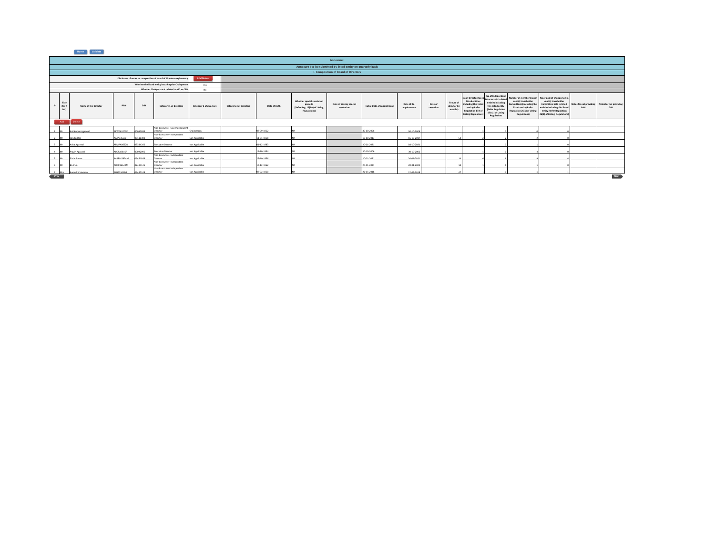|      | Annexure I                                                     |                                                                                          |            |          |                                                     |                         |                         |               |                                                                                       |                                       |                             |                            |                      |                                             |                                                                                                                                   |                                                                                                                                                 |                                                                                                                        |                                                                                                                                                                                                        |                                |                                       |
|------|----------------------------------------------------------------|------------------------------------------------------------------------------------------|------------|----------|-----------------------------------------------------|-------------------------|-------------------------|---------------|---------------------------------------------------------------------------------------|---------------------------------------|-----------------------------|----------------------------|----------------------|---------------------------------------------|-----------------------------------------------------------------------------------------------------------------------------------|-------------------------------------------------------------------------------------------------------------------------------------------------|------------------------------------------------------------------------------------------------------------------------|--------------------------------------------------------------------------------------------------------------------------------------------------------------------------------------------------------|--------------------------------|---------------------------------------|
|      | Annexure I to be submitted by listed entity on quarterly basis |                                                                                          |            |          |                                                     |                         |                         |               |                                                                                       |                                       |                             |                            |                      |                                             |                                                                                                                                   |                                                                                                                                                 |                                                                                                                        |                                                                                                                                                                                                        |                                |                                       |
|      | I. Composition of Board of Directors                           |                                                                                          |            |          |                                                     |                         |                         |               |                                                                                       |                                       |                             |                            |                      |                                             |                                                                                                                                   |                                                                                                                                                 |                                                                                                                        |                                                                                                                                                                                                        |                                |                                       |
|      |                                                                | <b>Add Notes</b><br>Disclosure of notes on composition of board of directors explanatory |            |          |                                                     |                         |                         |               |                                                                                       |                                       |                             |                            |                      |                                             |                                                                                                                                   |                                                                                                                                                 |                                                                                                                        |                                                                                                                                                                                                        |                                |                                       |
|      |                                                                |                                                                                          |            |          | Whether the listed entity has a Regular Chairperson | Yes                     |                         |               |                                                                                       |                                       |                             |                            |                      |                                             |                                                                                                                                   |                                                                                                                                                 |                                                                                                                        |                                                                                                                                                                                                        |                                |                                       |
|      |                                                                |                                                                                          |            |          | Whether Chairperson is related to MD or CEO         | No                      |                         |               |                                                                                       |                                       |                             |                            |                      |                                             |                                                                                                                                   |                                                                                                                                                 |                                                                                                                        |                                                                                                                                                                                                        |                                |                                       |
|      | Title<br>(Mr)<br>Msl                                           | Name of the Director                                                                     | PAN        | DIN      | Category 1 of directors                             | Category 2 of directors | Category 3 of directors | Date of Birth | Whether special resolution<br>passed?<br>[Refer Reg. 17(1A) of Listing<br>Regulations | Date of passing special<br>resolution | Initial Date of appointment | Date of Re-<br>appointment | Date of<br>cessation | <b>Tenure of</b><br>director (in<br>months) | No of Directorship i<br>listed entities<br>including this liste<br>entity (Refer<br>Regulation 17A c<br><b>Listing Regulation</b> | No of Independen<br>Directorship in listed<br>entities including<br>this listed entity<br>(Refer Regulation<br>17A(1) of Listing<br>Regulations | Audit/Stakeholder<br>Committee(s) including thi<br>listed entity (Refer<br>Regulation 26(1) of Listing<br>Regulations) | Number of memberships in No of post of Chairperson in<br>Audit/ Stakeholder<br>Committee held in listed<br>entities including this listed<br>entity (Refer Regulation<br>26(1) of Listing Regulations) | Notes for not providing<br>PAN | Notes for not providing<br><b>DIN</b> |
|      | Add                                                            | Delete                                                                                   |            |          |                                                     |                         |                         |               |                                                                                       |                                       |                             |                            |                      |                                             |                                                                                                                                   |                                                                                                                                                 |                                                                                                                        |                                                                                                                                                                                                        |                                |                                       |
|      |                                                                | Anil Kumar Agarwal                                                                       | AFWPA3200K | 00010883 | Non-Executive - Non Independent<br>Director         | Chairperson             |                         | 07-09-1952    |                                                                                       |                                       | 30-10-2006                  | 30-10-2006                 |                      |                                             |                                                                                                                                   |                                                                                                                                                 |                                                                                                                        |                                                                                                                                                                                                        |                                |                                       |
|      |                                                                |                                                                                          |            |          | Non-Executive - Independent                         |                         |                         |               |                                                                                       |                                       |                             |                            |                      |                                             |                                                                                                                                   |                                                                                                                                                 |                                                                                                                        |                                                                                                                                                                                                        |                                |                                       |
|      | <b>IMC</b>                                                     | Sandip Das                                                                               | LO28EO9LAA | 00116303 | Director                                            | Not Applicable          |                         | 11-01-1958    |                                                                                       |                                       | 16-10-2017                  | 16-10-2017                 |                      |                                             |                                                                                                                                   |                                                                                                                                                 |                                                                                                                        |                                                                                                                                                                                                        |                                |                                       |
|      | 3 Mr                                                           | Ankit Azarwal                                                                            | AFMPA0622D | 3344202  | Executive Director                                  | Not Applicable          |                         | 01-12-1983    |                                                                                       |                                       | 20-01-2021                  | 08-10-2021                 |                      |                                             |                                                                                                                                   |                                                                                                                                                 |                                                                                                                        |                                                                                                                                                                                                        |                                |                                       |
|      | 4 Mr                                                           | Pravin Agarwal                                                                           | ADCPARATE  | 2005500  | Executive Director                                  | Not Applicable          |                         | 16-10-1954    |                                                                                       |                                       | 30-10-2006                  | 30-10-2006                 |                      |                                             |                                                                                                                                   |                                                                                                                                                 |                                                                                                                        |                                                                                                                                                                                                        |                                |                                       |
|      | 5 Mr                                                           | S Madhavan                                                                               | MAC0CM9A4A | 06451889 | Non-Executive - Independent<br>Director             | Not Applicable          |                         | 27-10-1956    |                                                                                       |                                       | 20-01-2021                  | 20-01-2021                 |                      |                                             |                                                                                                                                   |                                                                                                                                                 |                                                                                                                        |                                                                                                                                                                                                        |                                |                                       |
|      | 6 Mr                                                           | BJ Arun                                                                                  | AOCP86640M | 02497125 | Non-Executive - Independent<br>Director             | Not Applicable          |                         | 17-12-1962    |                                                                                       |                                       | 20-01-2021                  | 20-01-2021                 |                      |                                             |                                                                                                                                   |                                                                                                                                                 |                                                                                                                        |                                                                                                                                                                                                        |                                |                                       |
|      |                                                                |                                                                                          |            |          | Non-Executive - Independent                         |                         |                         |               |                                                                                       |                                       |                             |                            |                      |                                             |                                                                                                                                   |                                                                                                                                                 |                                                                                                                        |                                                                                                                                                                                                        |                                |                                       |
|      | 7 Mrs                                                          | Kumud Srinkacan                                                                          | ALHPS34186 | 06487248 | Director                                            | Net Annicable           |                         | 02.02.1960    |                                                                                       |                                       | 22-05-2018                  | 22-05-2018                 |                      |                                             |                                                                                                                                   |                                                                                                                                                 |                                                                                                                        |                                                                                                                                                                                                        |                                |                                       |
| Prev |                                                                |                                                                                          |            |          |                                                     |                         |                         |               |                                                                                       |                                       |                             |                            |                      |                                             |                                                                                                                                   |                                                                                                                                                 |                                                                                                                        |                                                                                                                                                                                                        |                                | Next                                  |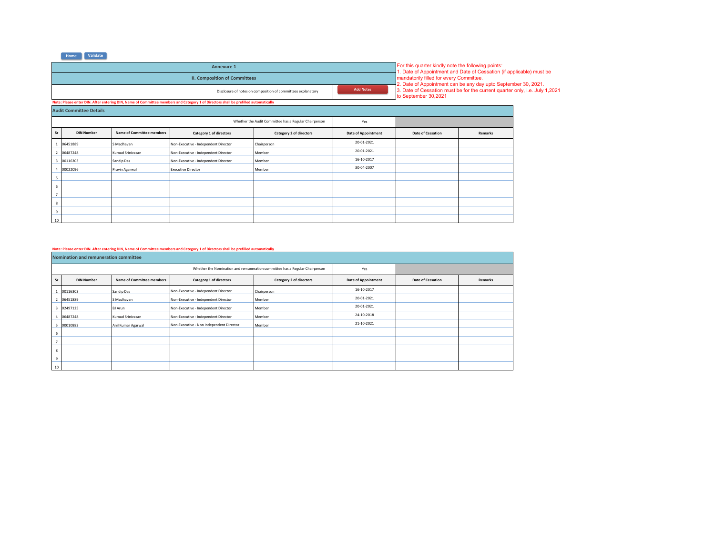| Annexure 1                                                                                                                         |                  |  |  |  |  |
|------------------------------------------------------------------------------------------------------------------------------------|------------------|--|--|--|--|
| <b>II. Composition of Committees</b>                                                                                               |                  |  |  |  |  |
| Disclosure of notes on composition of committees explanatory                                                                       | <b>Add Notes</b> |  |  |  |  |
| Note: Please enter DIN. After entering DIN, Name of Committee members and Category 1 of Directors shall be prefilled automatically |                  |  |  |  |  |
|                                                                                                                                    |                  |  |  |  |  |

For this quarter kindly note the following points:<br>1. Date of Appointment and Date of Cessation (if applicable) must be<br>mandatorily filled for every Committee.<br>2. Date of Appointment can be any day upto September 30, 2021.

|                         | <b>Audit Committee Details</b> |                           |                                                       |                         |                            |                          |         |  |  |  |  |  |
|-------------------------|--------------------------------|---------------------------|-------------------------------------------------------|-------------------------|----------------------------|--------------------------|---------|--|--|--|--|--|
|                         |                                |                           | Whether the Audit Committee has a Regular Chairperson | Yes                     |                            |                          |         |  |  |  |  |  |
| Sr                      | <b>DIN Number</b>              | Name of Committee members | Category 1 of directors                               | Category 2 of directors | <b>Date of Appointment</b> | <b>Date of Cessation</b> | Remarks |  |  |  |  |  |
|                         | 06451889                       | S Madhavan                | Non-Executive - Independent Director                  | Chairperson             | 20-01-2021                 |                          |         |  |  |  |  |  |
| $\overline{2}$          | 06487248                       | Kumud Srinivasan          | Non-Executive - Independent Director                  | Member                  | 20-01-2021                 |                          |         |  |  |  |  |  |
| $\overline{\mathbf{3}}$ | 00116303                       | Sandip Das                | Non-Executive - Independent Director                  | Member                  | 16-10-2017                 |                          |         |  |  |  |  |  |
|                         | 00022096                       | Pravin Agarwal            | <b>Executive Director</b>                             | Member                  | 30-04-2007                 |                          |         |  |  |  |  |  |
| 5                       |                                |                           |                                                       |                         |                            |                          |         |  |  |  |  |  |
| 6                       |                                |                           |                                                       |                         |                            |                          |         |  |  |  |  |  |
| $\overline{7}$          |                                |                           |                                                       |                         |                            |                          |         |  |  |  |  |  |
| 8                       |                                |                           |                                                       |                         |                            |                          |         |  |  |  |  |  |
| 9                       |                                |                           |                                                       |                         |                            |                          |         |  |  |  |  |  |
| 10                      |                                |                           |                                                       |                         |                            |                          |         |  |  |  |  |  |

## **Note: Please enter DIN. After entering DIN, Name of Committee members and Category 1 of Directors shall be prefilled automatically**

|                | Nomination and remuneration committee |                                  |                                          |                                                                             |                            |                          |         |  |  |  |  |  |
|----------------|---------------------------------------|----------------------------------|------------------------------------------|-----------------------------------------------------------------------------|----------------------------|--------------------------|---------|--|--|--|--|--|
|                |                                       |                                  |                                          | Whether the Nomination and remuneration committee has a Regular Chairperson | Yes                        |                          |         |  |  |  |  |  |
| Sr             | <b>DIN Number</b>                     | <b>Name of Committee members</b> | Category 1 of directors                  | Category 2 of directors                                                     | <b>Date of Appointment</b> | <b>Date of Cessation</b> | Remarks |  |  |  |  |  |
|                | 00116303                              | Sandip Das                       | Non-Executive - Independent Director     | Chairperson                                                                 | 16-10-2017                 |                          |         |  |  |  |  |  |
|                | 2 06451889                            | S Madhavan                       | Non-Executive - Independent Director     | Member                                                                      | 20-01-2021                 |                          |         |  |  |  |  |  |
|                | 3 02497125                            | <b>BJ</b> Arun                   | Non-Executive - Independent Director     | Member                                                                      | 20-01-2021                 |                          |         |  |  |  |  |  |
| 4              | 06487248                              | Kumud Srinivasan                 | Non-Executive - Independent Director     | Member                                                                      | 24-10-2018                 |                          |         |  |  |  |  |  |
| 5              | 00010883                              | Anil Kumar Agarwal               | Non-Executive - Non Independent Director | Member                                                                      | 21-10-2021                 |                          |         |  |  |  |  |  |
| 6              |                                       |                                  |                                          |                                                                             |                            |                          |         |  |  |  |  |  |
| $\overline{7}$ |                                       |                                  |                                          |                                                                             |                            |                          |         |  |  |  |  |  |
| 8              |                                       |                                  |                                          |                                                                             |                            |                          |         |  |  |  |  |  |
| 9              |                                       |                                  |                                          |                                                                             |                            |                          |         |  |  |  |  |  |
| 10             |                                       |                                  |                                          |                                                                             |                            |                          |         |  |  |  |  |  |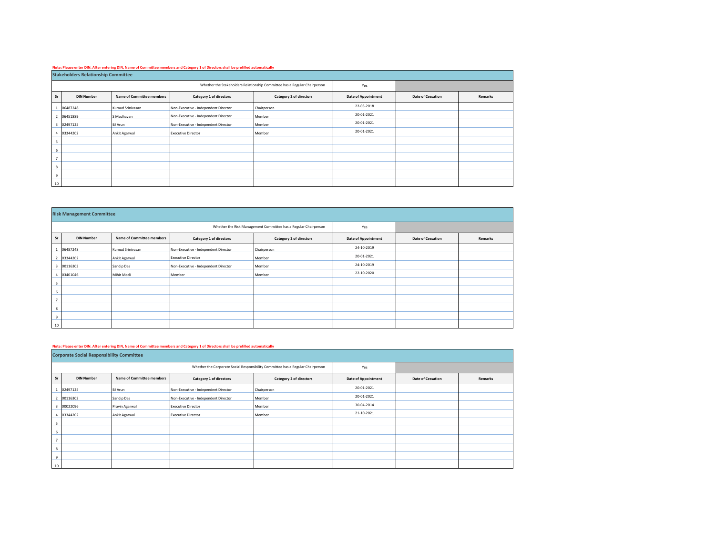#### **Note: Please enter DIN. After entering DIN, Name of Committee members and Category 1 of Directors shall be prefilled automatically**

|                         | <b>Stakeholders Relationship Committee</b> |                           |                                                                           |                         |                            |                          |         |  |  |  |  |
|-------------------------|--------------------------------------------|---------------------------|---------------------------------------------------------------------------|-------------------------|----------------------------|--------------------------|---------|--|--|--|--|
|                         |                                            |                           | Whether the Stakeholders Relationship Committee has a Regular Chairperson | Yes                     |                            |                          |         |  |  |  |  |
| Sr                      | <b>DIN Number</b>                          | Name of Committee members | Category 1 of directors                                                   | Category 2 of directors | <b>Date of Appointment</b> | <b>Date of Cessation</b> | Remarks |  |  |  |  |
|                         | 06487248                                   | Kumud Srinivasan          | Non-Executive - Independent Director                                      | Chairperson             | 22-05-2018                 |                          |         |  |  |  |  |
| $\overline{2}$          | 06451889                                   | S Madhavan                | Non-Executive - Independent Director                                      | Member                  | 20-01-2021                 |                          |         |  |  |  |  |
| $\overline{\mathbf{3}}$ | 02497125                                   | <b>BJ</b> Arun            | Non-Executive - Independent Director                                      | Member                  | 20-01-2021                 |                          |         |  |  |  |  |
|                         | 03344202                                   | Ankit Agarwal             | <b>Executive Director</b>                                                 | Member                  | 20-01-2021                 |                          |         |  |  |  |  |
| - 5                     |                                            |                           |                                                                           |                         |                            |                          |         |  |  |  |  |
| 6                       |                                            |                           |                                                                           |                         |                            |                          |         |  |  |  |  |
| $\overline{7}$          |                                            |                           |                                                                           |                         |                            |                          |         |  |  |  |  |
| 8                       |                                            |                           |                                                                           |                         |                            |                          |         |  |  |  |  |
| 9                       |                                            |                           |                                                                           |                         |                            |                          |         |  |  |  |  |
| 10                      |                                            |                           |                                                                           |                         |                            |                          |         |  |  |  |  |

|                 | <b>Risk Management Committee</b> |                                  |                                      |                                                                 |                            |                          |         |  |  |  |  |  |
|-----------------|----------------------------------|----------------------------------|--------------------------------------|-----------------------------------------------------------------|----------------------------|--------------------------|---------|--|--|--|--|--|
|                 |                                  |                                  |                                      | Whether the Risk Management Committee has a Regular Chairperson | Yes                        |                          |         |  |  |  |  |  |
| Sr <sup>1</sup> | <b>DIN Number</b>                | <b>Name of Committee members</b> | Category 1 of directors              | Category 2 of directors                                         | <b>Date of Appointment</b> | <b>Date of Cessation</b> | Remarks |  |  |  |  |  |
|                 | 06487248                         | Kumud Srinivasan                 | Non-Executive - Independent Director | Chairperson                                                     | 24-10-2019                 |                          |         |  |  |  |  |  |
|                 | 03344202                         | Ankit Agarwal                    | <b>Executive Director</b>            | Member                                                          | 20-01-2021                 |                          |         |  |  |  |  |  |
|                 | 3 00116303                       | Sandip Das                       | Non-Executive - Independent Director | Member                                                          | 24-10-2019                 |                          |         |  |  |  |  |  |
|                 | 03401046                         | Mihir Modi                       | Member                               | Member                                                          | 22-10-2020                 |                          |         |  |  |  |  |  |
| 5               |                                  |                                  |                                      |                                                                 |                            |                          |         |  |  |  |  |  |
| 6               |                                  |                                  |                                      |                                                                 |                            |                          |         |  |  |  |  |  |
| $\overline{7}$  |                                  |                                  |                                      |                                                                 |                            |                          |         |  |  |  |  |  |
| 8               |                                  |                                  |                                      |                                                                 |                            |                          |         |  |  |  |  |  |
| 9               |                                  |                                  |                                      |                                                                 |                            |                          |         |  |  |  |  |  |
| 10              |                                  |                                  |                                      |                                                                 |                            |                          |         |  |  |  |  |  |

#### **Note: Please enter DIN. After entering DIN, Name of Committee members and Category 1 of Directors shall be prefilled automatically**

|                | <b>Corporate Social Responsibility Committee</b> |                                  |                                      |                                                                                 |                            |                          |         |  |  |  |  |  |
|----------------|--------------------------------------------------|----------------------------------|--------------------------------------|---------------------------------------------------------------------------------|----------------------------|--------------------------|---------|--|--|--|--|--|
|                |                                                  |                                  |                                      | Whether the Corporate Social Responsibility Committee has a Regular Chairperson | Yes                        |                          |         |  |  |  |  |  |
| Sr             | <b>DIN Number</b>                                | <b>Name of Committee members</b> | Category 1 of directors              | Category 2 of directors                                                         | <b>Date of Appointment</b> | <b>Date of Cessation</b> | Remarks |  |  |  |  |  |
|                | 02497125                                         | <b>BJ</b> Arun                   | Non-Executive - Independent Director | Chairperson                                                                     | 20-01-2021                 |                          |         |  |  |  |  |  |
|                | 2 00116303                                       | Sandip Das                       | Non-Executive - Independent Director | Member                                                                          | 20-01-2021                 |                          |         |  |  |  |  |  |
|                | 3 00022096                                       | Pravin Agarwal                   | <b>Executive Director</b>            | Member                                                                          | 30-04-2014                 |                          |         |  |  |  |  |  |
| $\overline{a}$ | 03344202                                         | Ankit Agarwal                    | <b>Executive Director</b>            | Member                                                                          | 21-10-2021                 |                          |         |  |  |  |  |  |
| 5              |                                                  |                                  |                                      |                                                                                 |                            |                          |         |  |  |  |  |  |
| 6              |                                                  |                                  |                                      |                                                                                 |                            |                          |         |  |  |  |  |  |
|                |                                                  |                                  |                                      |                                                                                 |                            |                          |         |  |  |  |  |  |
| $^{\circ}$     |                                                  |                                  |                                      |                                                                                 |                            |                          |         |  |  |  |  |  |
| 9              |                                                  |                                  |                                      |                                                                                 |                            |                          |         |  |  |  |  |  |
| 10             |                                                  |                                  |                                      |                                                                                 |                            |                          |         |  |  |  |  |  |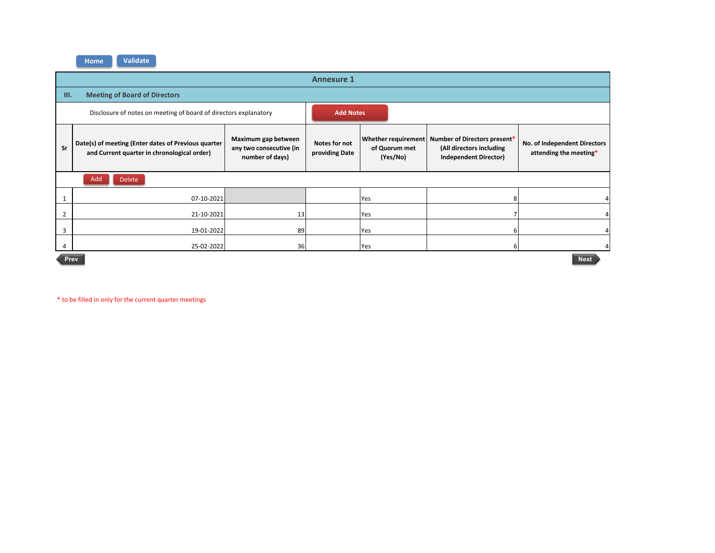|      |                                                                                                    |                                                                   | <b>Annexure 1</b>               |                                                  |                                                                                          |                                                        |
|------|----------------------------------------------------------------------------------------------------|-------------------------------------------------------------------|---------------------------------|--------------------------------------------------|------------------------------------------------------------------------------------------|--------------------------------------------------------|
| III. | <b>Meeting of Board of Directors</b>                                                               |                                                                   |                                 |                                                  |                                                                                          |                                                        |
|      | Disclosure of notes on meeting of board of directors explanatory                                   |                                                                   | <b>Add Notes</b>                |                                                  |                                                                                          |                                                        |
| Sr   | Date(s) of meeting (Enter dates of Previous quarter<br>and Current quarter in chronological order) | Maximum gap between<br>any two consecutive (in<br>number of days) | Notes for not<br>providing Date | Whether requirement<br>of Quorum met<br>(Yes/No) | Number of Directors present*<br>(All directors including<br><b>Independent Director)</b> | No. of Independent Directors<br>attending the meeting* |
|      | Add<br><b>Delete</b>                                                                               |                                                                   |                                 |                                                  |                                                                                          |                                                        |
|      | 07-10-2021                                                                                         |                                                                   |                                 | Yes                                              |                                                                                          | 4                                                      |
| 2    | 21-10-2021                                                                                         | 13                                                                |                                 | Yes                                              |                                                                                          |                                                        |
| 3    | 19-01-2022                                                                                         | 89                                                                |                                 | Yes                                              |                                                                                          |                                                        |
| 4    | 25-02-2022                                                                                         | 36                                                                |                                 | Yes                                              | 6                                                                                        |                                                        |
|      | Prev                                                                                               |                                                                   |                                 |                                                  |                                                                                          | <b>Next</b>                                            |

\* to be filled in only for the current quarter meetings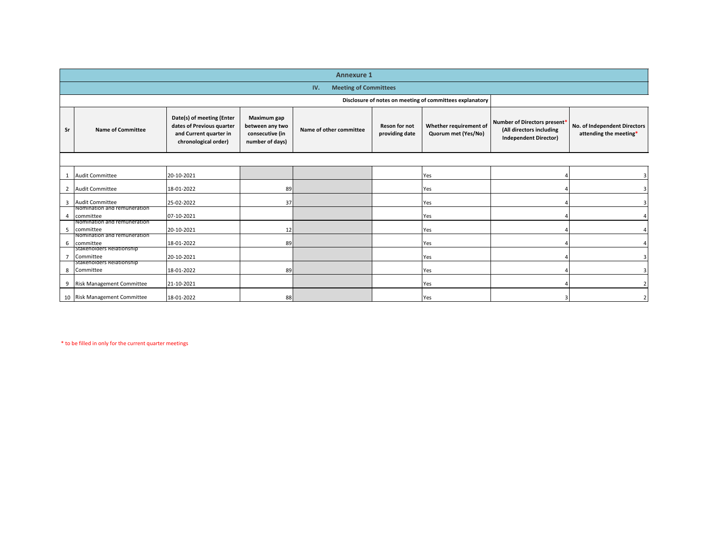|                | <b>Annexure 1</b>                        |                                                                                                          |                                                                      |                                     |                                        |                                               |                                                                                          |                                                        |  |  |  |
|----------------|------------------------------------------|----------------------------------------------------------------------------------------------------------|----------------------------------------------------------------------|-------------------------------------|----------------------------------------|-----------------------------------------------|------------------------------------------------------------------------------------------|--------------------------------------------------------|--|--|--|
|                |                                          |                                                                                                          |                                                                      | <b>Meeting of Committees</b><br>IV. |                                        |                                               |                                                                                          |                                                        |  |  |  |
|                |                                          | Disclosure of notes on meeting of committees explanatory                                                 |                                                                      |                                     |                                        |                                               |                                                                                          |                                                        |  |  |  |
| Sr             | <b>Name of Committee</b>                 | Date(s) of meeting (Enter<br>dates of Previous quarter<br>and Current quarter in<br>chronological order) | Maximum gap<br>between any two<br>consecutive (in<br>number of days) | Name of other committee             | <b>Reson for not</b><br>providing date | Whether requirement of<br>Quorum met (Yes/No) | Number of Directors present*<br>(All directors including<br><b>Independent Director)</b> | No. of Independent Directors<br>attending the meeting* |  |  |  |
|                |                                          |                                                                                                          |                                                                      |                                     |                                        |                                               |                                                                                          |                                                        |  |  |  |
|                | <b>Audit Committee</b>                   | 20-10-2021                                                                                               |                                                                      |                                     |                                        | Yes                                           |                                                                                          |                                                        |  |  |  |
| $\overline{2}$ | <b>Audit Committee</b>                   | 18-01-2022                                                                                               | 89                                                                   |                                     |                                        | Yes                                           |                                                                                          |                                                        |  |  |  |
| 3              | <b>Audit Committee</b>                   | 25-02-2022                                                                                               | 37                                                                   |                                     |                                        | Yes                                           |                                                                                          |                                                        |  |  |  |
| 4              | Nomination and remuneration<br>committee | 07-10-2021                                                                                               |                                                                      |                                     |                                        | Yes                                           |                                                                                          |                                                        |  |  |  |
| 5              | Nomination and remuneration<br>committee | 20-10-2021                                                                                               | 12                                                                   |                                     |                                        | Yes                                           |                                                                                          |                                                        |  |  |  |
| 6              | Nomination and remuneration<br>committee | 18-01-2022                                                                                               | 89                                                                   |                                     |                                        | Yes                                           |                                                                                          |                                                        |  |  |  |
| $\overline{7}$ | Stakeholders Relationship<br>Committee   | 20-10-2021                                                                                               |                                                                      |                                     |                                        | Yes                                           |                                                                                          |                                                        |  |  |  |
| 8              | Stakeholders Relationship<br>Committee   | 18-01-2022                                                                                               | 89                                                                   |                                     |                                        | Yes                                           |                                                                                          |                                                        |  |  |  |
| 9              | Risk Management Committee                | 21-10-2021                                                                                               |                                                                      |                                     |                                        | Yes                                           |                                                                                          |                                                        |  |  |  |
|                | 10 Risk Management Committee             | 18-01-2022                                                                                               | 88                                                                   |                                     |                                        | Yes                                           |                                                                                          |                                                        |  |  |  |

\* to be filled in only for the current quarter meetings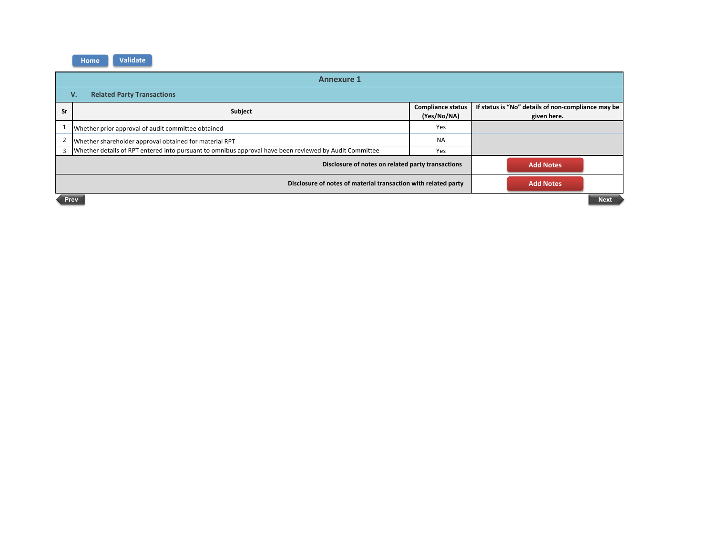| <b>Annexure 1</b> |                                                                                                        |                                         |                                                                   |  |  |  |  |  |  |  |
|-------------------|--------------------------------------------------------------------------------------------------------|-----------------------------------------|-------------------------------------------------------------------|--|--|--|--|--|--|--|
|                   | <b>Related Party Transactions</b><br>V.                                                                |                                         |                                                                   |  |  |  |  |  |  |  |
| Sr                | Subject                                                                                                | <b>Compliance status</b><br>(Yes/No/NA) | If status is "No" details of non-compliance may be<br>given here. |  |  |  |  |  |  |  |
|                   | Whether prior approval of audit committee obtained                                                     | Yes                                     |                                                                   |  |  |  |  |  |  |  |
|                   | Whether shareholder approval obtained for material RPT                                                 | <b>NA</b>                               |                                                                   |  |  |  |  |  |  |  |
|                   | Whether details of RPT entered into pursuant to omnibus approval have been reviewed by Audit Committee | Yes                                     |                                                                   |  |  |  |  |  |  |  |
|                   | Disclosure of notes on related party transactions                                                      |                                         | <b>Add Notes</b>                                                  |  |  |  |  |  |  |  |
|                   | <b>Add Notes</b><br>Disclosure of notes of material transaction with related party                     |                                         |                                                                   |  |  |  |  |  |  |  |
|                   | <b>Next</b><br>Prev                                                                                    |                                         |                                                                   |  |  |  |  |  |  |  |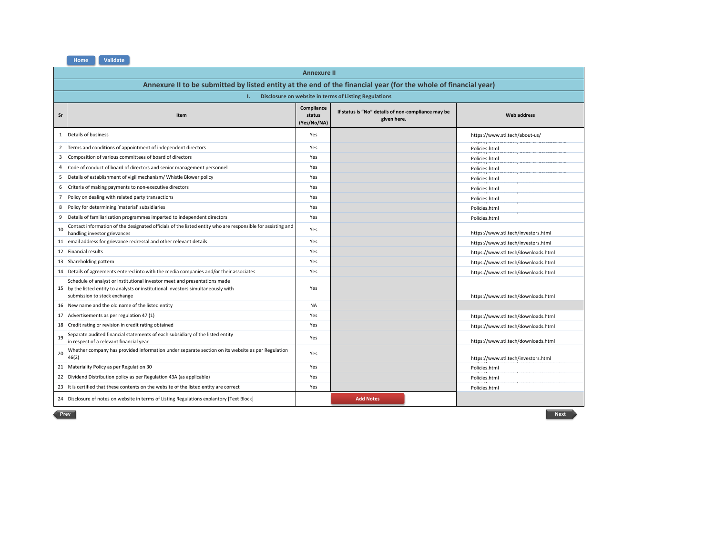|                | <b>Annexure II</b>                                                                                                                                                                           |                                     |                                                                   |                                                                  |  |  |  |  |  |  |  |
|----------------|----------------------------------------------------------------------------------------------------------------------------------------------------------------------------------------------|-------------------------------------|-------------------------------------------------------------------|------------------------------------------------------------------|--|--|--|--|--|--|--|
|                | Annexure II to be submitted by listed entity at the end of the financial year (for the whole of financial year)                                                                              |                                     |                                                                   |                                                                  |  |  |  |  |  |  |  |
|                | т.                                                                                                                                                                                           |                                     | Disclosure on website in terms of Listing Regulations             |                                                                  |  |  |  |  |  |  |  |
| Sr             | Item                                                                                                                                                                                         | Compliance<br>status<br>(Yes/No/NA) | If status is "No" details of non-compliance may be<br>given here. | <b>Web address</b>                                               |  |  |  |  |  |  |  |
| 1              | Details of business                                                                                                                                                                          | Yes                                 |                                                                   | https://www.stl.tech/about-us/                                   |  |  |  |  |  |  |  |
| $\overline{2}$ | Terms and conditions of appointment of independent directors                                                                                                                                 | Yes                                 |                                                                   | Policies.html                                                    |  |  |  |  |  |  |  |
| 3              | Composition of various committees of board of directors                                                                                                                                      | Yes                                 |                                                                   | Policies.html<br>import international come of conduct            |  |  |  |  |  |  |  |
| 4              | Code of conduct of board of directors and senior management personnel                                                                                                                        | Yes                                 |                                                                   | Policies.html                                                    |  |  |  |  |  |  |  |
| 5              | Details of establishment of vigil mechanism/ Whistle Blower policy                                                                                                                           | Yes                                 |                                                                   | Policies.html                                                    |  |  |  |  |  |  |  |
| 6              | Criteria of making payments to non-executive directors                                                                                                                                       | Yes                                 |                                                                   | Policies.html                                                    |  |  |  |  |  |  |  |
| $\overline{7}$ | Policy on dealing with related party transactions                                                                                                                                            | Yes                                 |                                                                   | Policies.html                                                    |  |  |  |  |  |  |  |
| 8              | Policy for determining 'material' subsidiaries                                                                                                                                               | Yes                                 |                                                                   | Policies.html                                                    |  |  |  |  |  |  |  |
| 9              | Details of familiarization programmes imparted to independent directors                                                                                                                      | Yes                                 |                                                                   | Policies.html                                                    |  |  |  |  |  |  |  |
| 10             | Contact information of the designated officials of the listed entity who are responsible for assisting and<br>handling investor grievances                                                   | Yes                                 |                                                                   | https://www.stl.tech/investors.html                              |  |  |  |  |  |  |  |
| 11             | email address for grievance redressal and other relevant details                                                                                                                             | Yes                                 |                                                                   | https://www.stl.tech/investors.html                              |  |  |  |  |  |  |  |
| 12             | <b>Financial results</b>                                                                                                                                                                     | Yes                                 |                                                                   | https://www.stl.tech/downloads.html                              |  |  |  |  |  |  |  |
|                | 13 Shareholding pattern                                                                                                                                                                      | Yes                                 |                                                                   | https://www.stl.tech/downloads.html                              |  |  |  |  |  |  |  |
| 14             | Details of agreements entered into with the media companies and/or their associates                                                                                                          | Yes                                 |                                                                   | https://www.stl.tech/downloads.html                              |  |  |  |  |  |  |  |
| 15             | Schedule of analyst or institutional investor meet and presentations made<br>by the listed entity to analysts or institutional investors simultaneously with<br>submission to stock exchange | Yes                                 |                                                                   | https://www.stl.tech/downloads.html                              |  |  |  |  |  |  |  |
| 16             | New name and the old name of the listed entity                                                                                                                                               | <b>NA</b>                           |                                                                   |                                                                  |  |  |  |  |  |  |  |
| 17             | Advertisements as per regulation 47 (1)                                                                                                                                                      | Yes                                 |                                                                   | https://www.stl.tech/downloads.html                              |  |  |  |  |  |  |  |
| 18             | Credit rating or revision in credit rating obtained                                                                                                                                          | Yes                                 |                                                                   | https://www.stl.tech/downloads.html                              |  |  |  |  |  |  |  |
| 19             | Separate audited financial statements of each subsidiary of the listed entity<br>in respect of a relevant financial year                                                                     | Yes                                 |                                                                   | https://www.stl.tech/downloads.html                              |  |  |  |  |  |  |  |
| 20             | Whether company has provided information under separate section on its website as per Regulation<br>46(2)                                                                                    | Yes                                 |                                                                   | https://www.stl.tech/investors.html                              |  |  |  |  |  |  |  |
|                | 21 Materiality Policy as per Regulation 30                                                                                                                                                   | Yes                                 |                                                                   | Policies.html<br>interact a conservation of company conservation |  |  |  |  |  |  |  |
| 22             | Dividend Distribution policy as per Regulation 43A (as applicable)                                                                                                                           | Yes                                 |                                                                   | Policies.html                                                    |  |  |  |  |  |  |  |
| 23             | It is certified that these contents on the website of the listed entity are correct                                                                                                          | Yes                                 |                                                                   | Policies.html                                                    |  |  |  |  |  |  |  |
|                | 24 Disclosure of notes on website in terms of Listing Regulations explantory [Text Block]                                                                                                    |                                     | <b>Add Notes</b>                                                  |                                                                  |  |  |  |  |  |  |  |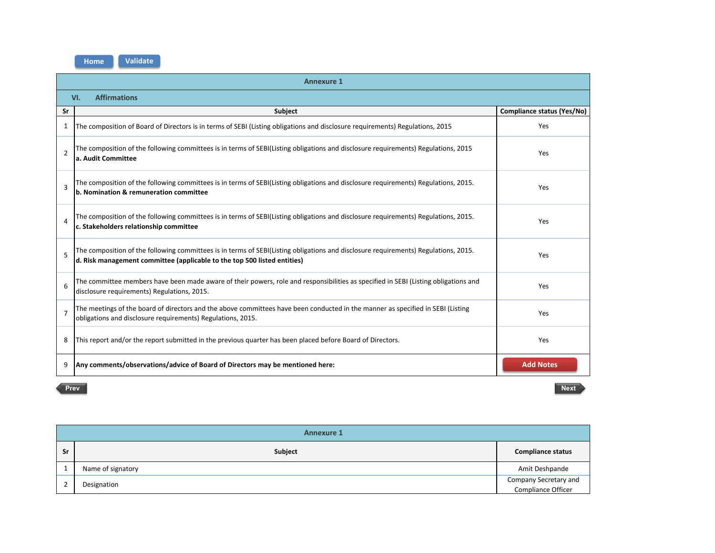|                | <b>Annexure 1</b>                                                                                                                                                                                               |                                   |  |
|----------------|-----------------------------------------------------------------------------------------------------------------------------------------------------------------------------------------------------------------|-----------------------------------|--|
|                | <b>Affirmations</b><br>VI.                                                                                                                                                                                      |                                   |  |
| Sr             | <b>Subject</b>                                                                                                                                                                                                  | <b>Compliance status (Yes/No)</b> |  |
| 1              | The composition of Board of Directors is in terms of SEBI (Listing obligations and disclosure requirements) Regulations, 2015                                                                                   | Yes                               |  |
| $\mathfrak{p}$ | The composition of the following committees is in terms of SEBI(Listing obligations and disclosure requirements) Regulations, 2015<br>a. Audit Committee                                                        | Yes                               |  |
| $\overline{3}$ | The composition of the following committees is in terms of SEBI(Listing obligations and disclosure requirements) Regulations, 2015.<br>b. Nomination & remuneration committee                                   | Yes                               |  |
| $\Delta$       | The composition of the following committees is in terms of SEBI(Listing obligations and disclosure requirements) Regulations, 2015.<br>c. Stakeholders relationship committee                                   | Yes                               |  |
| 5              | The composition of the following committees is in terms of SEBI(Listing obligations and disclosure requirements) Regulations, 2015.<br>d. Risk management committee (applicable to the top 500 listed entities) | Yes                               |  |
| 6              | The committee members have been made aware of their powers, role and responsibilities as specified in SEBI (Listing obligations and<br>disclosure requirements) Regulations, 2015.                              | Yes                               |  |
| $\overline{7}$ | The meetings of the board of directors and the above committees have been conducted in the manner as specified in SEBI (Listing<br>obligations and disclosure requirements) Regulations, 2015.                  | Yes                               |  |
| 8              | This report and/or the report submitted in the previous quarter has been placed before Board of Directors.                                                                                                      | Yes                               |  |
| ٩              | Any comments/observations/advice of Board of Directors may be mentioned here:                                                                                                                                   | <b>Add Notes</b>                  |  |

**Sr Subject Compliance status Compliance status Compliance status** 1 Name of signatory **Amit Deshpande** 2 Designation **Company Secretary and Company Secretary and Company Secretary and Company Secretary and Company Secretary and Company Secretary and Company Secretary and Company Secretary and**  $\sim$  **2007.** Compliance Officer **Annexure 1**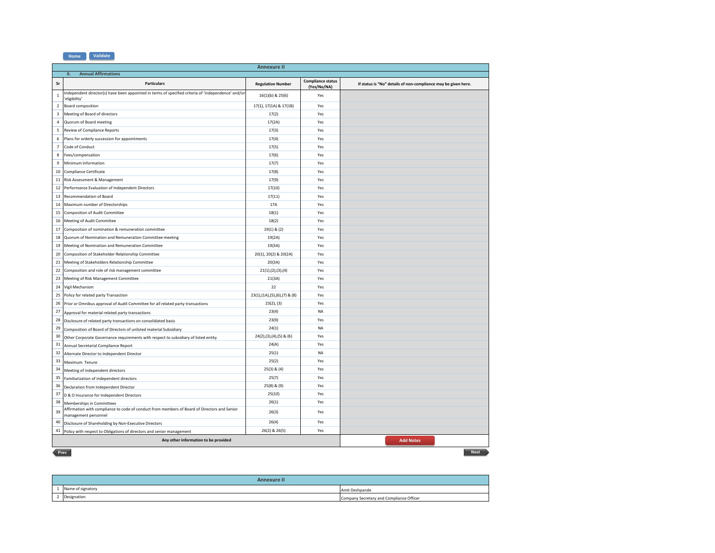|                         | <b>Annexure II</b>                                                                                                   |                              |                                         |                                                                |
|-------------------------|----------------------------------------------------------------------------------------------------------------------|------------------------------|-----------------------------------------|----------------------------------------------------------------|
|                         | <b>Annual Affirmations</b><br>H.                                                                                     |                              |                                         |                                                                |
| Sr                      | <b>Particulars</b>                                                                                                   | <b>Regulation Number</b>     | <b>Compliance status</b><br>(Yes/No/NA) | If status is "No" details of non-compliance may be given here. |
| $\,$ 1                  | Independent director(s) have been appointed in terms of specified criteria of 'independence' and/or<br>'eligibility' | 16(1)(b) & 25(6)             | Yes                                     |                                                                |
| $\overline{2}$          | Board composition                                                                                                    | 17(1), 17(1A) & 17(1B)       | Yes                                     |                                                                |
| $\overline{\mathbf{3}}$ | Meeting of Board of directors                                                                                        | 17(2)                        | Yes                                     |                                                                |
| $\overline{4}$          | Quorum of Board meeting                                                                                              | 17(2A)                       | Yes                                     |                                                                |
| 5                       | Review of Compliance Reports                                                                                         | 17(3)                        | Yes                                     |                                                                |
| 6                       | Plans for orderly succession for appointments                                                                        | 17(4)                        | Yes                                     |                                                                |
| $\overline{7}$          | Code of Conduct                                                                                                      | 17(5)                        | Yes                                     |                                                                |
| 8                       | Fees/compensation                                                                                                    | 17(6)                        | Yes                                     |                                                                |
| 9                       | Minimum Information                                                                                                  | 17(7)                        | Yes                                     |                                                                |
| 10                      | Compliance Certificate                                                                                               | 17(8)                        | Yes                                     |                                                                |
| 11                      | Risk Assessment & Management                                                                                         | 17(9)                        | Yes                                     |                                                                |
| 12                      | Performance Evaluation of Independent Directors                                                                      | 17(10)                       | Yes                                     |                                                                |
| 13                      | Recommendation of Board                                                                                              | 17(11)                       | Yes                                     |                                                                |
| 14                      | Maximum number of Directorships                                                                                      | 17A                          | Yes                                     |                                                                |
| 15                      | Composition of Audit Committee                                                                                       | 18(1)                        | Yes                                     |                                                                |
| 16                      | Meeting of Audit Committee                                                                                           | 18(2)                        | Yes                                     |                                                                |
| 17                      | Composition of nomination & remuneration committee                                                                   | 19(1) & (2)                  | Yes                                     |                                                                |
| 18                      | Quorum of Nomination and Remuneration Committee meeting                                                              | 19(2A)                       | Yes                                     |                                                                |
| 19                      | Meeting of Nomination and Remuneration Committee                                                                     | 19(3A)                       | Yes                                     |                                                                |
| 20                      | Composition of Stakeholder Relationship Committee                                                                    | 20(1), 20(2) & 20(2A)        | Yes                                     |                                                                |
| 21                      | Meeting of Stakeholders Relationship Committee                                                                       | 20(3A)                       | Yes                                     |                                                                |
| 22                      | Composition and role of risk management committee                                                                    | 21(1), (2), (3), (4)         | Yes                                     |                                                                |
| 23                      | Meeting of Risk Management Committee                                                                                 | 21(3A)                       | Yes                                     |                                                                |
| 24                      | Vigil Mechanism                                                                                                      | 22                           | Yes                                     |                                                                |
| 25                      | Policy for related party Transaction                                                                                 | 23(1),(1A),(5),(6),(7) & (8) | Yes                                     |                                                                |
| 26                      | Prior or Omnibus approval of Audit Committee for all related party transactions                                      | 23(2), (3)                   | Yes                                     |                                                                |
| 27                      | Approval for material related party transactions                                                                     | 23(4)                        | <b>NA</b>                               |                                                                |
| 28                      | Disclosure of related party transactions on consolidated basis                                                       | 23(9)                        | Yes                                     |                                                                |
| 29                      | Composition of Board of Directors of unlisted material Subsidiary                                                    | 24(1)                        | <b>NA</b>                               |                                                                |
| 30                      | Other Corporate Governance requirements with respect to subsidiary of listed entity                                  | $24(2),(3),(4),(5)$ & (6)    | Yes                                     |                                                                |
| 31                      | Annual Secretarial Compliance Report                                                                                 | 24(A)                        | Yes                                     |                                                                |
| 32                      | Alternate Director to Independent Director                                                                           | 25(1)                        | <b>NA</b>                               |                                                                |
| 33                      | Maximum Tenure                                                                                                       | 25(2)                        | Yes                                     |                                                                |
| 34                      | Meeting of independent directors                                                                                     | $25(3)$ & $(4)$              | Yes                                     |                                                                |
| 35                      | Familiarization of independent directors                                                                             | 25(7)                        | Yes                                     |                                                                |
| 36                      | Declaration from Independent Director                                                                                | 25(8) & (9)                  | Yes                                     |                                                                |
| 37                      | D & O Insurance for Independent Directors                                                                            | 25(10)                       | Yes                                     |                                                                |
| 38                      | Memberships in Committees                                                                                            | 26(1)                        | Yes                                     |                                                                |
| 39                      | Affirmation with compliance to code of conduct from members of Board of Directors and Senior<br>management personnel | 26(3)                        | Yes                                     |                                                                |
| 40                      | Disclosure of Shareholding by Non-Executive Directors                                                                | 26(4)                        | Yes                                     |                                                                |
| 41                      | Policy with respect to Obligations of directors and senior management                                                | 26(2) & 26(5)                | Yes                                     |                                                                |
|                         | <b>Add Notes</b><br>Any other information to be provided                                                             |                              |                                         |                                                                |

| <b>Annexure II</b> |                                          |
|--------------------|------------------------------------------|
| Name of signatory  | Amit Deshpande                           |
| Designation        | Company Secretary and Compliance Officer |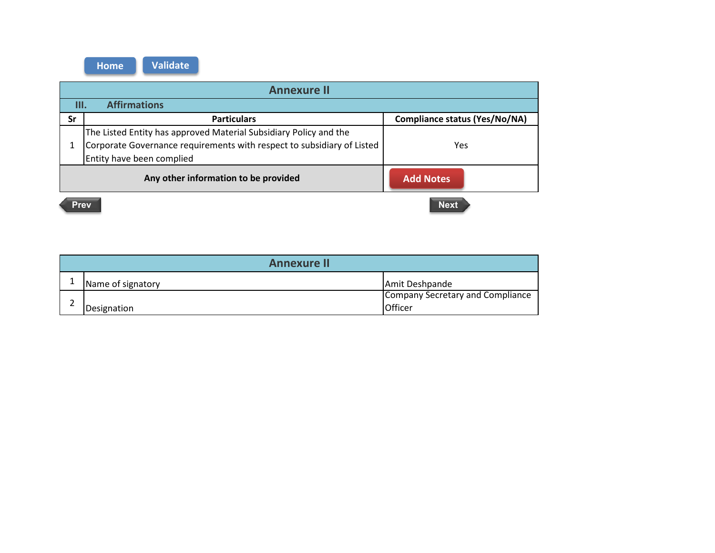| <b>Annexure II</b>                                       |                                                                        |                                      |  |
|----------------------------------------------------------|------------------------------------------------------------------------|--------------------------------------|--|
| <b>Affirmations</b><br>III.                              |                                                                        |                                      |  |
| Sr                                                       | <b>Particulars</b>                                                     | <b>Compliance status (Yes/No/NA)</b> |  |
|                                                          | The Listed Entity has approved Material Subsidiary Policy and the      |                                      |  |
|                                                          | Corporate Governance requirements with respect to subsidiary of Listed | Yes                                  |  |
|                                                          | Entity have been complied                                              |                                      |  |
| Any other information to be provided<br><b>Add Notes</b> |                                                                        |                                      |  |
|                                                          | <b>Next</b><br><b>Prev</b>                                             |                                      |  |

| <b>Annexure II</b> |                   |                                  |
|--------------------|-------------------|----------------------------------|
|                    | Name of signatory | Amit Deshpande                   |
|                    |                   | Company Secretary and Compliance |
|                    | Designation       | Officer                          |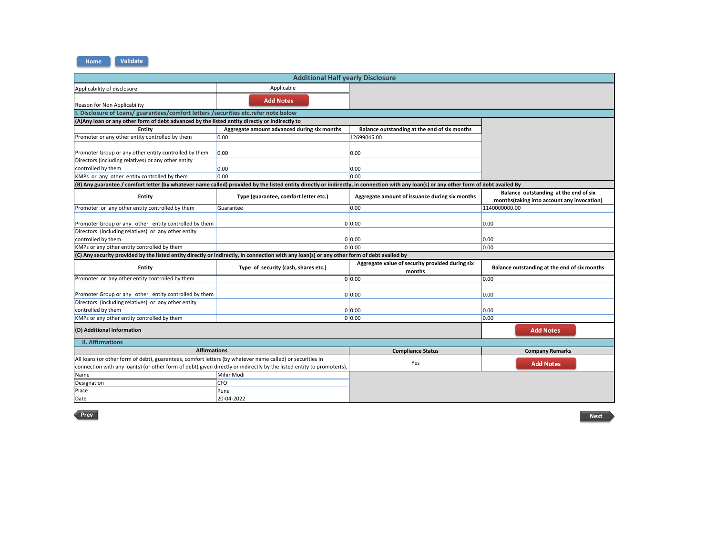**Validate Home**

| <b>Additional Half yearly Disclosure</b>                                                                                                                                                                                           |                                             |                                                           |                                                                                      |
|------------------------------------------------------------------------------------------------------------------------------------------------------------------------------------------------------------------------------------|---------------------------------------------|-----------------------------------------------------------|--------------------------------------------------------------------------------------|
| Applicability of disclosure                                                                                                                                                                                                        | Applicable                                  |                                                           |                                                                                      |
| Reason for Non Applicability                                                                                                                                                                                                       | <b>Add Notes</b>                            |                                                           |                                                                                      |
| I. Disclosure of Loans/ guarantees/comfort letters /securities etc.refer note below                                                                                                                                                |                                             |                                                           |                                                                                      |
| (A) Any loan or any other form of debt advanced by the listed entity directly or indirectly to                                                                                                                                     |                                             |                                                           |                                                                                      |
| Entity                                                                                                                                                                                                                             | Aggregate amount advanced during six months | Balance outstanding at the end of six months              |                                                                                      |
| Promoter or any other entity controlled by them                                                                                                                                                                                    | 0.00                                        | 12699045.00                                               |                                                                                      |
| Promoter Group or any other entity controlled by them                                                                                                                                                                              | 0.00                                        | 0.00                                                      |                                                                                      |
| Directors (including relatives) or any other entity                                                                                                                                                                                |                                             |                                                           |                                                                                      |
| controlled by them                                                                                                                                                                                                                 | 0.00                                        | 0.00                                                      |                                                                                      |
| KMPs or any other entity controlled by them                                                                                                                                                                                        | 0.00                                        | 0.00                                                      |                                                                                      |
| (B) Any guarantee / comfort letter (by whatever name called) provided by the listed entity directly or indirectly, in connection with any loan(s) or any other form of debt availed By                                             |                                             |                                                           |                                                                                      |
| Entity                                                                                                                                                                                                                             | Type (guarantee, comfort letter etc.)       | Aggregate amount of issuance during six months            | Balance outstanding at the end of six<br>months (taking into account any invocation) |
| Promoter or any other entity controlled by them                                                                                                                                                                                    | Guarantee                                   | 0.00                                                      | 1140000000.00                                                                        |
| Promoter Group or any other entity controlled by them                                                                                                                                                                              |                                             | 0 0.00                                                    | 0.00                                                                                 |
| Directors (including relatives) or any other entity                                                                                                                                                                                |                                             |                                                           |                                                                                      |
| controlled by them                                                                                                                                                                                                                 | 0 0.00                                      |                                                           | 0.00                                                                                 |
| KMPs or any other entity controlled by them                                                                                                                                                                                        |                                             | 0 0.00                                                    | 0.00                                                                                 |
| (C) Any security provided by the listed entity directly or indirectly, in connection with any loan(s) or any other form of debt availed by                                                                                         |                                             |                                                           |                                                                                      |
| <b>Entity</b>                                                                                                                                                                                                                      | Type of security (cash, shares etc.)        | Aggregate value of security provided during six<br>months | Balance outstanding at the end of six months                                         |
| Promoter or any other entity controlled by them                                                                                                                                                                                    |                                             | 0 0.00                                                    | 0.00                                                                                 |
| Promoter Group or any other entity controlled by them                                                                                                                                                                              |                                             | 0 0.00                                                    | 0.00                                                                                 |
| Directors (including relatives) or any other entity                                                                                                                                                                                |                                             |                                                           |                                                                                      |
| controlled by them                                                                                                                                                                                                                 |                                             | 0 0.00                                                    | 0.00                                                                                 |
| KMPs or any other entity controlled by them                                                                                                                                                                                        |                                             | 0 0.00                                                    | 0.00                                                                                 |
| (D) Additional Information                                                                                                                                                                                                         |                                             |                                                           | <b>Add Notes</b>                                                                     |
| <b>II. Affirmations</b>                                                                                                                                                                                                            |                                             |                                                           |                                                                                      |
| <b>Affirmations</b><br><b>Compliance Status</b><br><b>Company Remarks</b>                                                                                                                                                          |                                             |                                                           |                                                                                      |
| All loans (or other form of debt), guarantees, comfort letters (by whatever name called) or securities in<br>connection with any loan(s) (or other form of debt) given directly or indirectly by the listed entity to promoter(s), |                                             | Yes                                                       | <b>Add Notes</b>                                                                     |
| Name                                                                                                                                                                                                                               | Mihir Modi                                  |                                                           |                                                                                      |
| Designation                                                                                                                                                                                                                        | <b>CFO</b>                                  |                                                           |                                                                                      |
| Place                                                                                                                                                                                                                              | Pune                                        |                                                           |                                                                                      |
| Date                                                                                                                                                                                                                               | 20-04-2022                                  |                                                           |                                                                                      |
|                                                                                                                                                                                                                                    |                                             |                                                           |                                                                                      |